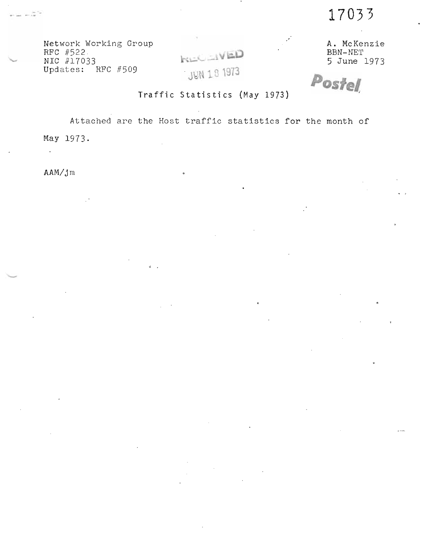17033

Network Working Group RFC #522 NIC #17033<br>Updates: RFC #509



A. McKenzie BBN-NET 5 June 1973

Postel

Traffic Statistics (May 1973)

Attached are the Host traffic statistics for the month of

 $\overline{\phantom{a}}$ 

May 1973.

 $AAM/Jm$ 

 $\mathbb{Z}^2$ 

 $-177$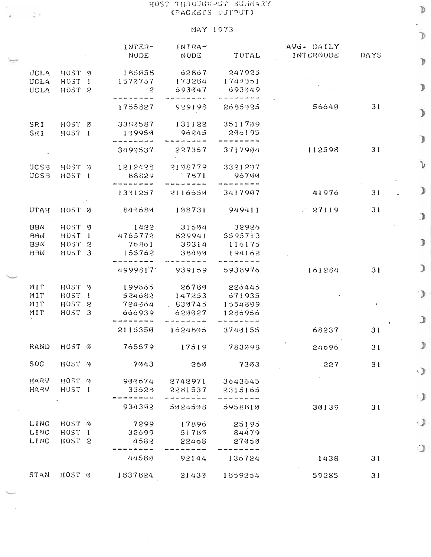## HOST THROUGH-UT SUGGARY (PACKETS UJTPUT)

 $\frac{1}{2}$  ,  $\frac{1}{2}$  ,

## MAY 1973

|                                 |                                                             |                            | $T1$ $T2$                  |                             |                         |                      | $\mathcal{D}$ |
|---------------------------------|-------------------------------------------------------------|----------------------------|----------------------------|-----------------------------|-------------------------|----------------------|---------------|
|                                 |                                                             | INTER-<br><b>NODE</b>      | $INTRA-$<br>NODE           | TOTAL                       | AVG. DAILY<br>INTERNUDE | DAYS                 |               |
| <b>JCLA</b>                     | HOST 3                                                      | 185058                     | 62867                      | 247925                      |                         |                      | Ď             |
| <b>UCLA</b><br><b>UCLA</b>      | HUST <sub>1</sub><br>HOST <sub>2</sub>                      | 1570757<br>$\overline{c}$  | 173284<br>693947           | 1744951<br>693949           |                         |                      | Þ             |
|                                 |                                                             | 1755827                    | 929198                     | 2685425                     | 56640                   | 31                   | $\mathcal{P}$ |
| SRI<br>SRI                      | HOST Ø<br>HUST <sub>1</sub>                                 | 3384587<br>179952          | 131122<br>96245            | 3511739<br>236195           |                         |                      |               |
|                                 |                                                             | ----<br>3499537            | 227367                     | 3717994                     | 112598                  | 31                   | D             |
| <b>UCSB</b><br><b>UCSB</b>      | HOST Ø<br>HOST 1                                            | 1212428<br>88829           | 2198779<br>$-7871$         | 3321207<br>96744            |                         |                      | V             |
|                                 |                                                             | 1331257                    | 2116650                    | 3417907                     | 41976                   | 31                   |               |
| <b>UTAH</b>                     | HUST Ø                                                      | 843683                     | 198731                     | 949411                      | 27119                   | 31                   | $\mathcal{D}$ |
| <b>BBN</b>                      | HOST 9                                                      | 1422                       | 31504                      | 32926                       |                         |                      |               |
| BBN<br><b>BBN</b><br><b>BBN</b> | HUST <sub>1</sub><br>HUST <sub>2</sub><br>HOST <sub>3</sub> | 4765772<br>76861<br>155762 | 829941<br>39314<br>- 38499 | 5595713<br>116175<br>194162 |                         |                      | D             |
|                                 |                                                             | 4999817                    | 939159                     | 5938976                     | 161284                  | 31                   | €             |
| MIT                             | HOST <sub>(3</sub>                                          | 199665                     | 26789                      | 226445                      |                         |                      |               |
| MIT<br>MIT                      | HOST I<br>HUST <sub>2</sub>                                 | 524682<br>724064           | 147253<br>.839745          | 671935<br>1554809           |                         | $\ddot{\phantom{a}}$ | Э             |
| MIT                             | HOST 3                                                      | 666939                     | 629027                     | 1286966                     |                         |                      | J             |
|                                 |                                                             | 2115350                    | 1624805                    | 3740155                     | 68237                   | 31                   |               |
|                                 | RAND HOST Ø                                                 | 765579                     | 17519                      | 783098                      | 24696                   | 31                   | $\mathcal{F}$ |
| <b>SDC</b>                      | HOST <sub>U</sub>                                           | 7043                       | 260                        | 7393                        | 227                     | 31                   | s.J           |
| <b>HARV</b><br>HARV             | HOST Ø<br>HUST <sub>1</sub>                                 | 900674<br>33628            | 2742971 3643645<br>2281537 | 2315165                     |                         |                      |               |
|                                 |                                                             | 934342                     | 5924598                    | 5958810                     | 39139                   | 31                   | ۰,            |
| LINC                            | HOST 9                                                      | 7299                       | 17896                      | 25195                       |                         |                      | ی             |
| LING<br>LINC                    | HUST <sub>1</sub>                                           | 32699                      | 51789                      | 84479                       |                         |                      |               |
|                                 | H0ST 2                                                      | 4582<br>44589              | 22468<br>92144             | 27353<br>136724             | 1438                    | 31                   | Đ.            |
| STAN                            | HOST 0                                                      | 1837824                    | 21433                      | 1859254                     | 59285                   | 31                   |               |
|                                 |                                                             |                            |                            |                             |                         |                      |               |

 $\mathbb{D}$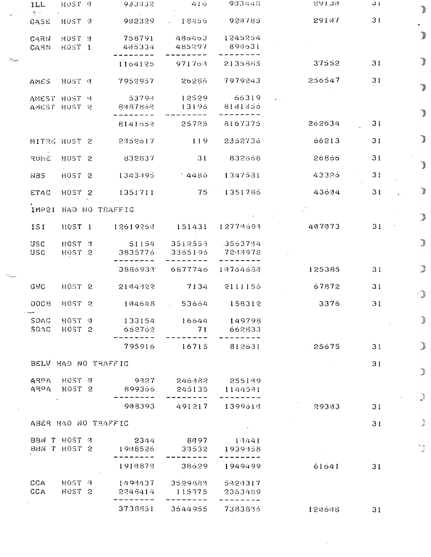| ILL                                                    | HUST Ø                      |  | 943932                   | 416               | 963448                | 53130  | 1 ئ | Þ  |
|--------------------------------------------------------|-----------------------------|--|--------------------------|-------------------|-----------------------|--------|-----|----|
| 5 -<br>CASE                                            | HUST 0                      |  | 902329                   |                   | $18455$ 924785        | 29107  | 31  |    |
| CARN<br>CARN                                           | HUST <sub>3</sub><br>H0ST 1 |  | 758791<br>405334         | 486463<br>485297  | 1245254<br>890531     |        |     | D  |
|                                                        |                             |  | 1164125                  | 971703            | 2135665               | 37552  | 31  | у  |
| AMES                                                   | HUST 7                      |  | 7952957                  | 26286             | 7979243               | 256547 | 31  | ∍  |
| AMEST HOST V<br>AMEST HOST 2                           |                             |  | 53794<br>8487869         | 12529<br>13196    | 66319<br>8101055      |        |     | Þ  |
|                                                        |                             |  | 8141659                  | 25725             | 8167375               | 262634 | 31  |    |
| MITRE HUST 2                                           |                             |  | 2352617                  | 119               | 2352736               | 66213  | 31  | J  |
| RUME                                                   | HUST <sub>2</sub>           |  | 832837                   | 31                | 832568                | 26866  | 31  | J  |
| NBS                                                    | HOST <sub>2</sub>           |  | 1343095                  | - 4486 -          | 1347531               | 43326  | 31  |    |
| ETAC                                                   | HOST <sub>2</sub>           |  | 1351711                  | 75                | 1351785               | 43604  | 31  | J. |
|                                                        |                             |  | IMP21 HAD NO TRAFFIC     |                   |                       |        |     | Э  |
| ISI                                                    | HOST 1                      |  | 12619250 151431          |                   | 12779693              | 407073 | 31  |    |
| USC<br><b>USC</b>                                      | HOST 3<br>HOST <sub>2</sub> |  | 51154 3512553<br>3835776 | 3355195           | $-3563704$<br>7243972 |        |     | Э  |
|                                                        |                             |  | 38869331                 | 6877746           | 10764630              | 125385 | 31  | э  |
| GWC                                                    | HOST <sub>2</sub>           |  | 2194322                  | 7134              | 2111155               | 67872  | 31  | ാ  |
| DOC <sub>B</sub><br><b>Subset of the Second Second</b> | HOST <sub>2</sub>           |  | 194548                   | 53664             | 158312                | 3376   | 31  |    |
| SDAC<br>SDAC                                           | HOST Ø<br>H0ST 2            |  | 133154<br>662762         | 16644<br>71       | 149798<br>662833      |        |     | J  |
|                                                        |                             |  | 795916                   | 16715             | 812631                | 25675  | 31  | Э  |
|                                                        |                             |  | BELV HAD NO TRAFFIC      |                   |                       |        | 31  | J  |
| ARPA                                                   | HOST 0<br>ARPA HOST 2       |  | 9327<br>899366           | 246382<br>245135  | 255199<br>1144591     |        |     |    |
|                                                        |                             |  | 908393                   | 491217            | 1399617               | 29303  | 31  | Э  |
| ABER HAD NO TRAFFIC                                    |                             |  |                          |                   |                       |        | 31  |    |
| BBN T HOST Ø<br>BBN T HOST 2                           |                             |  | 2344<br>1908526          | 8997<br>39532     | 19441<br>1939358      |        |     | 13 |
|                                                        |                             |  | 1910870                  | 38629             | 1949499               | 61641  | 31  |    |
| CCA<br>CCA                                             | HOST 9<br>HOST <sub>2</sub> |  | 1499437<br>2248414       | 3529889<br>115975 | 5929317<br>2363489    |        |     |    |
|                                                        |                             |  | 3738851                  | 3644955           | 7383836               | 120608 | 31  |    |

 $\sim 10^{-1}$